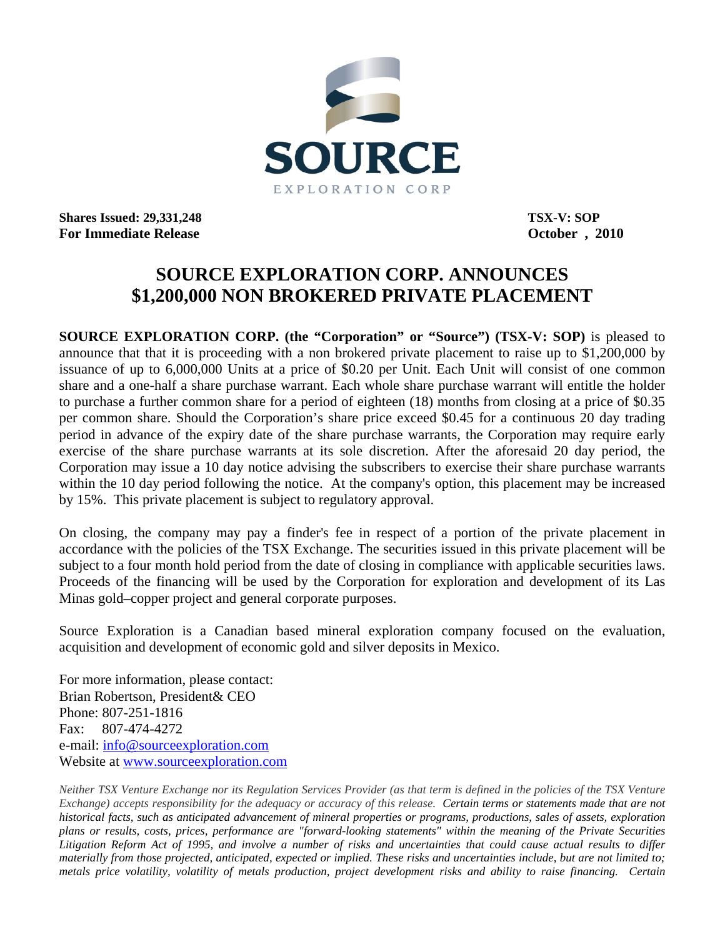

**Shares Issued: 29,331,248** TSX-V: SOP **For Immediate Release October , 2010** 

## **SOURCE EXPLORATION CORP. ANNOUNCES \$1,200,000 NON BROKERED PRIVATE PLACEMENT**

**SOURCE EXPLORATION CORP.** (the "Corporation" or "Source") (TSX-V: SOP) is pleased to announce that that it is proceeding with a non brokered private placement to raise up to \$1,200,000 by issuance of up to 6,000,000 Units at a price of \$0.20 per Unit. Each Unit will consist of one common share and a one-half a share purchase warrant. Each whole share purchase warrant will entitle the holder to purchase a further common share for a period of eighteen (18) months from closing at a price of \$0.35 per common share. Should the Corporation's share price exceed \$0.45 for a continuous 20 day trading period in advance of the expiry date of the share purchase warrants, the Corporation may require early exercise of the share purchase warrants at its sole discretion. After the aforesaid 20 day period, the Corporation may issue a 10 day notice advising the subscribers to exercise their share purchase warrants within the 10 day period following the notice. At the company's option, this placement may be increased by 15%. This private placement is subject to regulatory approval.

On closing, the company may pay a finder's fee in respect of a portion of the private placement in accordance with the policies of the TSX Exchange. The securities issued in this private placement will be subject to a four month hold period from the date of closing in compliance with applicable securities laws. Proceeds of the financing will be used by the Corporation for exploration and development of its Las Minas gold–copper project and general corporate purposes.

Source Exploration is a Canadian based mineral exploration company focused on the evaluation, acquisition and development of economic gold and silver deposits in Mexico.

For more information, please contact: Brian Robertson, President& CEO Phone: 807-251-1816 Fax: 807-474-4272 e-mail: [info@sourceexploration.com](mailto:info@sourceexploration.com) Website at [www.sourceexploration.com](http://www.sourceexploration.com/)

*Neither TSX Venture Exchange nor its Regulation Services Provider (as that term is defined in the policies of the TSX Venture Exchange) accepts responsibility for the adequacy or accuracy of this release. Certain terms or statements made that are not historical facts, such as anticipated advancement of mineral properties or programs, productions, sales of assets, exploration plans or results, costs, prices, performance are "forward-looking statements" within the meaning of the Private Securities Litigation Reform Act of 1995, and involve a number of risks and uncertainties that could cause actual results to differ materially from those projected, anticipated, expected or implied. These risks and uncertainties include, but are not limited to; metals price volatility, volatility of metals production, project development risks and ability to raise financing. Certain*